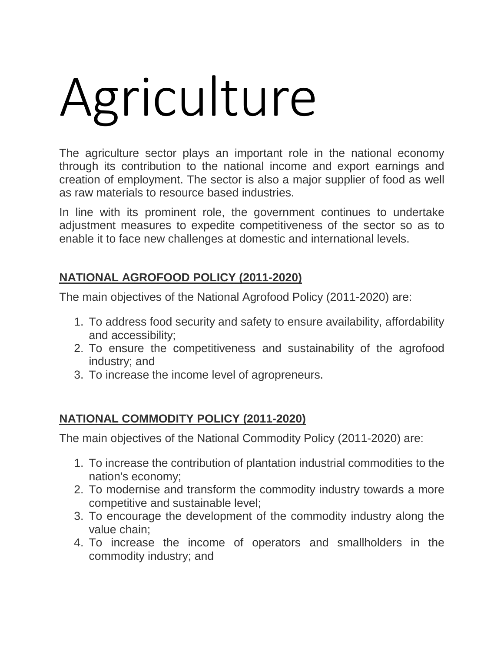## Agriculture

The agriculture sector plays an important role in the national economy through its contribution to the national income and export earnings and creation of employment. The sector is also a major supplier of food as well as raw materials to resource based industries.

In line with its prominent role, the government continues to undertake adjustment measures to expedite competitiveness of the sector so as to enable it to face new challenges at domestic and international levels.

## **NATIONAL AGROFOOD POLICY (2011-2020)**

The main objectives of the National Agrofood Policy (2011-2020) are:

- 1. To address food security and safety to ensure availability, affordability and accessibility;
- 2. To ensure the competitiveness and sustainability of the agrofood industry; and
- 3. To increase the income level of agropreneurs.

## **NATIONAL COMMODITY POLICY (2011-2020)**

The main objectives of the National Commodity Policy (2011-2020) are:

- 1. To increase the contribution of plantation industrial commodities to the nation's economy;
- 2. To modernise and transform the commodity industry towards a more competitive and sustainable level;
- 3. To encourage the development of the commodity industry along the value chain;
- 4. To increase the income of operators and smallholders in the commodity industry; and